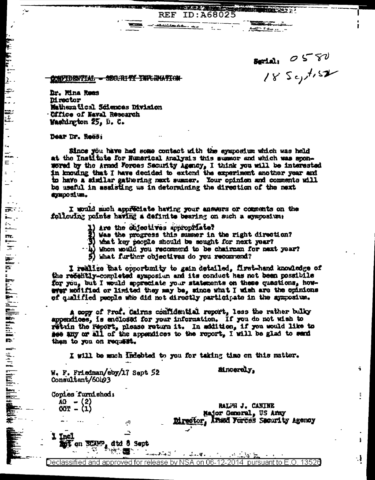$3.550$ <br> $18.5c_1$ 

**HARLTON PARK** 

<u> Agentina (n. 14</u>

## WARTERWICKER - SECURITY THRUNK TOW

Dr. Mina Rues **Mrector** Matheratical Sciences Division Office of Naval Research Washington 25, D. C.

Dear Dr. Rees;

 $\tilde{\mathbb{Z}}$ 

B بتجا

 $\vec{z}$ 

E.

 $\ddot{\phantom{1}}$ 

 $\epsilon_{\rm m}$ 

محمد

 $\sim 100$ 

h<br>H

 $\overline{\mathbf{r}}$ 

**P** . . .

艺

Since you have had some contact with the symposium which was held at the Institute for Humerical Analysis this summor and which was sponwored by the Armed Forces Security Agency, I think you will be interested in knowing that I have decided to extend the experiment another year and to have a similar gathering next summer. Your opinion and comments will be useful in assisting us in determining the direction of the next aymposium.

**The Poster** 

ID:A68025

I would much appreciate having your answers or comments on the following points having a definite bearing on such a symposium:

**REF** 

أأمام ممتشققه

- 1) are the objectives appropriate?
- Was the progress this summer in the right direction?
- 3) what key people should be sought for next year?
- $\cdot$ 4) Whom would you recommend to be chairman for next year?
- What further objectives do you recommend?

I realize that opportunity to gain detailed, first-hand knowledge of the recently-completed symposium and its conduct has not been possibile for you, but I would appreciate your statements on these questions, howway multicd or limited they may be, since what I wish are the opinions of qualified people who did not directly participate in the aymposium.

A copy of Frof. Cairns confidential report, less the rather bulky appendices, is enclosed for your information. If you do not wish to rethin the report, please return it. In addition, if you would like to see any or all of the appendices to the report, I will be glad to send them to you on request.

I will be much indebted to you for taking time on this matter.

W. F. Friedman/eby/17 Sept 52 Consultant/60193

**Eincerely.** 

Copies furnished:  $AC = (2)$ OOT - (1)

RALPH J. CANINE Major General, US Anny Director, Ansed Portes Security Agency ĩ

ŧ,

Ŧ

- 1

1 Incl on SCAMP, dtd 5 Sept "读" 疆

÷ ≞

Declassified and approved for release by NSA on 06-12-2014 pursuant to E.O. 13526

 $\mathcal{L} = \mathcal{L} \mathcal{L} = \mathcal{L} \mathcal{L}$ 

 $\overline{r}$